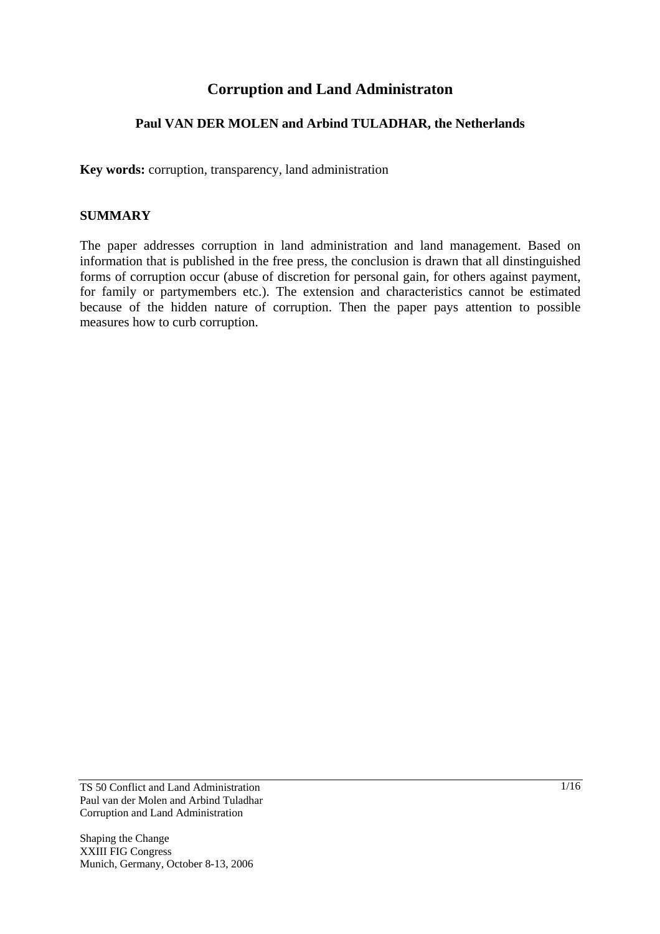# **Corruption and Land Administraton**

### **Paul VAN DER MOLEN and Arbind TULADHAR, the Netherlands**

**Key words:** corruption, transparency, land administration

#### **SUMMARY**

The paper addresses corruption in land administration and land management. Based on information that is published in the free press, the conclusion is drawn that all dinstinguished forms of corruption occur (abuse of discretion for personal gain, for others against payment, for family or partymembers etc.). The extension and characteristics cannot be estimated because of the hidden nature of corruption. Then the paper pays attention to possible measures how to curb corruption.

TS 50 Conflict and Land Administration Paul van der Molen and Arbind Tuladhar Corruption and Land Administration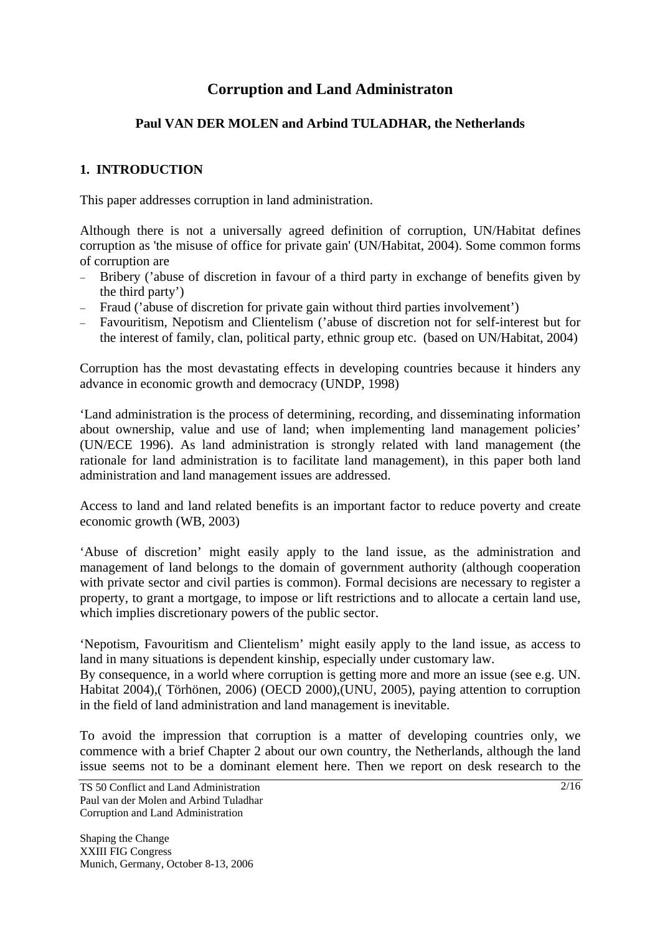# **Corruption and Land Administraton**

### **Paul VAN DER MOLEN and Arbind TULADHAR, the Netherlands**

### **1. INTRODUCTION**

This paper addresses corruption in land administration.

Although there is not a universally agreed definition of corruption, UN/Habitat defines corruption as 'the misuse of office for private gain' (UN/Habitat, 2004). Some common forms of corruption are

- − Bribery ('abuse of discretion in favour of a third party in exchange of benefits given by the third party')
- − Fraud ('abuse of discretion for private gain without third parties involvement')
- − Favouritism, Nepotism and Clientelism ('abuse of discretion not for self-interest but for the interest of family, clan, political party, ethnic group etc. (based on UN/Habitat, 2004)

Corruption has the most devastating effects in developing countries because it hinders any advance in economic growth and democracy (UNDP, 1998)

'Land administration is the process of determining, recording, and disseminating information about ownership, value and use of land; when implementing land management policies' (UN/ECE 1996). As land administration is strongly related with land management (the rationale for land administration is to facilitate land management), in this paper both land administration and land management issues are addressed.

Access to land and land related benefits is an important factor to reduce poverty and create economic growth (WB, 2003)

'Abuse of discretion' might easily apply to the land issue, as the administration and management of land belongs to the domain of government authority (although cooperation with private sector and civil parties is common). Formal decisions are necessary to register a property, to grant a mortgage, to impose or lift restrictions and to allocate a certain land use, which implies discretionary powers of the public sector.

'Nepotism, Favouritism and Clientelism' might easily apply to the land issue, as access to land in many situations is dependent kinship, especially under customary law.

By consequence, in a world where corruption is getting more and more an issue (see e.g. UN. Habitat 2004),( Törhönen, 2006) (OECD 2000),(UNU, 2005), paying attention to corruption in the field of land administration and land management is inevitable.

To avoid the impression that corruption is a matter of developing countries only, we commence with a brief Chapter 2 about our own country, the Netherlands, although the land issue seems not to be a dominant element here. Then we report on desk research to the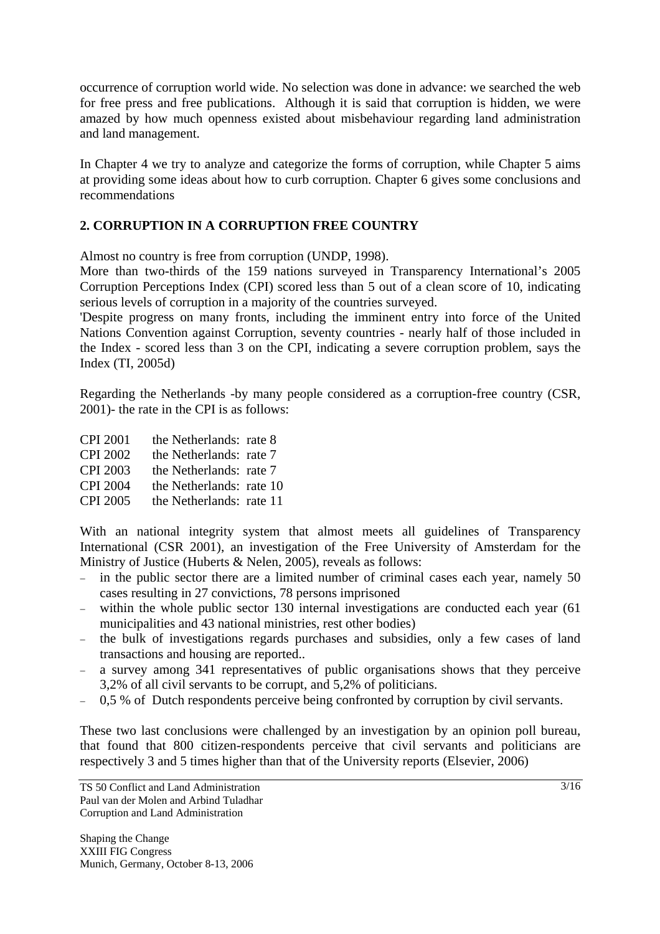occurrence of corruption world wide. No selection was done in advance: we searched the web for free press and free publications. Although it is said that corruption is hidden, we were amazed by how much openness existed about misbehaviour regarding land administration and land management.

In Chapter 4 we try to analyze and categorize the forms of corruption, while Chapter 5 aims at providing some ideas about how to curb corruption. Chapter 6 gives some conclusions and recommendations

### **2. CORRUPTION IN A CORRUPTION FREE COUNTRY**

Almost no country is free from corruption (UNDP, 1998).

More than two-thirds of the 159 nations surveyed in Transparency International's 2005 Corruption Perceptions Index (CPI) scored less than 5 out of a clean score of 10, indicating serious levels of corruption in a majority of the countries surveyed.

'Despite progress on many fronts, including the imminent entry into force of the United Nations Convention against Corruption, seventy countries - nearly half of those included in the Index - scored less than 3 on the CPI, indicating a severe corruption problem, says the Index (TI, 2005d)

Regarding the Netherlands -by many people considered as a corruption-free country (CSR, 2001)- the rate in the CPI is as follows:

| CPI 2001 | the Netherlands: rate 8 |  |
|----------|-------------------------|--|
|          |                         |  |

- CPI 2002 the Netherlands: rate 7
- CPI 2003 the Netherlands: rate 7
- CPI 2004 the Netherlands: rate 10
- CPI 2005 the Netherlands: rate 11

With an national integrity system that almost meets all guidelines of Transparency International (CSR 2001), an investigation of the Free University of Amsterdam for the Ministry of Justice (Huberts & Nelen, 2005), reveals as follows:

- − in the public sector there are a limited number of criminal cases each year, namely 50 cases resulting in 27 convictions, 78 persons imprisoned
- within the whole public sector 130 internal investigations are conducted each year (61 municipalities and 43 national ministries, rest other bodies)
- − the bulk of investigations regards purchases and subsidies, only a few cases of land transactions and housing are reported..
- a survey among 341 representatives of public organisations shows that they perceive 3,2% of all civil servants to be corrupt, and 5,2% of politicians.
- − 0,5 % of Dutch respondents perceive being confronted by corruption by civil servants.

These two last conclusions were challenged by an investigation by an opinion poll bureau, that found that 800 citizen-respondents perceive that civil servants and politicians are respectively 3 and 5 times higher than that of the University reports (Elsevier, 2006)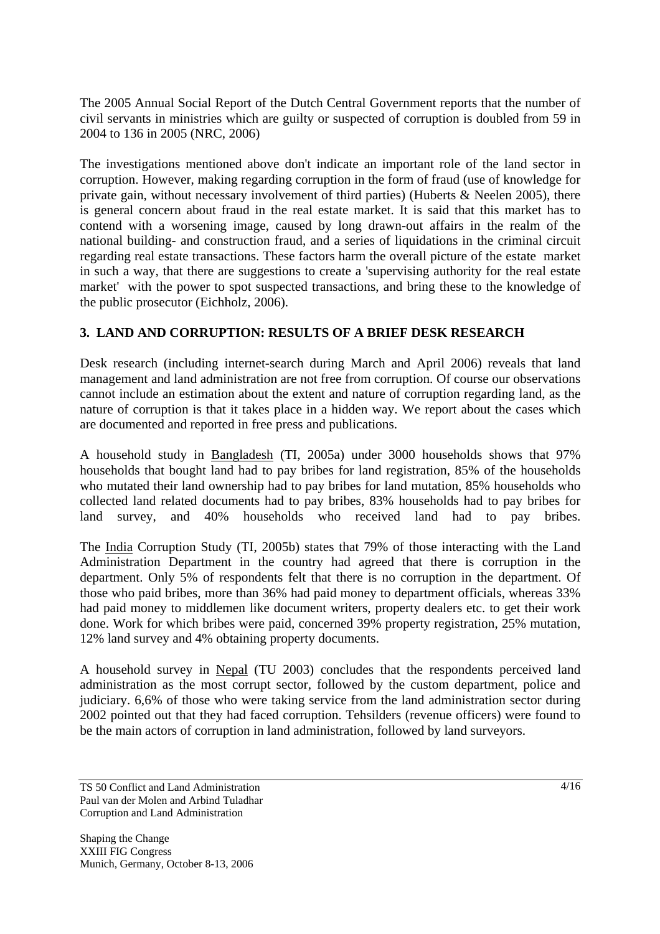The 2005 Annual Social Report of the Dutch Central Government reports that the number of civil servants in ministries which are guilty or suspected of corruption is doubled from 59 in 2004 to 136 in 2005 (NRC, 2006)

The investigations mentioned above don't indicate an important role of the land sector in corruption. However, making regarding corruption in the form of fraud (use of knowledge for private gain, without necessary involvement of third parties) (Huberts & Neelen 2005), there is general concern about fraud in the real estate market. It is said that this market has to contend with a worsening image, caused by long drawn-out affairs in the realm of the national building- and construction fraud, and a series of liquidations in the criminal circuit regarding real estate transactions. These factors harm the overall picture of the estate market in such a way, that there are suggestions to create a 'supervising authority for the real estate market' with the power to spot suspected transactions, and bring these to the knowledge of the public prosecutor (Eichholz, 2006).

## **3. LAND AND CORRUPTION: RESULTS OF A BRIEF DESK RESEARCH**

Desk research (including internet-search during March and April 2006) reveals that land management and land administration are not free from corruption. Of course our observations cannot include an estimation about the extent and nature of corruption regarding land, as the nature of corruption is that it takes place in a hidden way. We report about the cases which are documented and reported in free press and publications.

A household study in Bangladesh (TI, 2005a) under 3000 households shows that 97% households that bought land had to pay bribes for land registration, 85% of the households who mutated their land ownership had to pay bribes for land mutation, 85% households who collected land related documents had to pay bribes, 83% households had to pay bribes for land survey, and 40% households who received land had to pay bribes.

The India Corruption Study (TI, 2005b) states that 79% of those interacting with the Land Administration Department in the country had agreed that there is corruption in the department. Only 5% of respondents felt that there is no corruption in the department. Of those who paid bribes, more than 36% had paid money to department officials, whereas 33% had paid money to middlemen like document writers, property dealers etc. to get their work done. Work for which bribes were paid, concerned 39% property registration, 25% mutation, 12% land survey and 4% obtaining property documents.

A household survey in Nepal (TU 2003) concludes that the respondents perceived land administration as the most corrupt sector, followed by the custom department, police and judiciary. 6,6% of those who were taking service from the land administration sector during 2002 pointed out that they had faced corruption. Tehsilders (revenue officers) were found to be the main actors of corruption in land administration, followed by land surveyors.

TS 50 Conflict and Land Administration Paul van der Molen and Arbind Tuladhar Corruption and Land Administration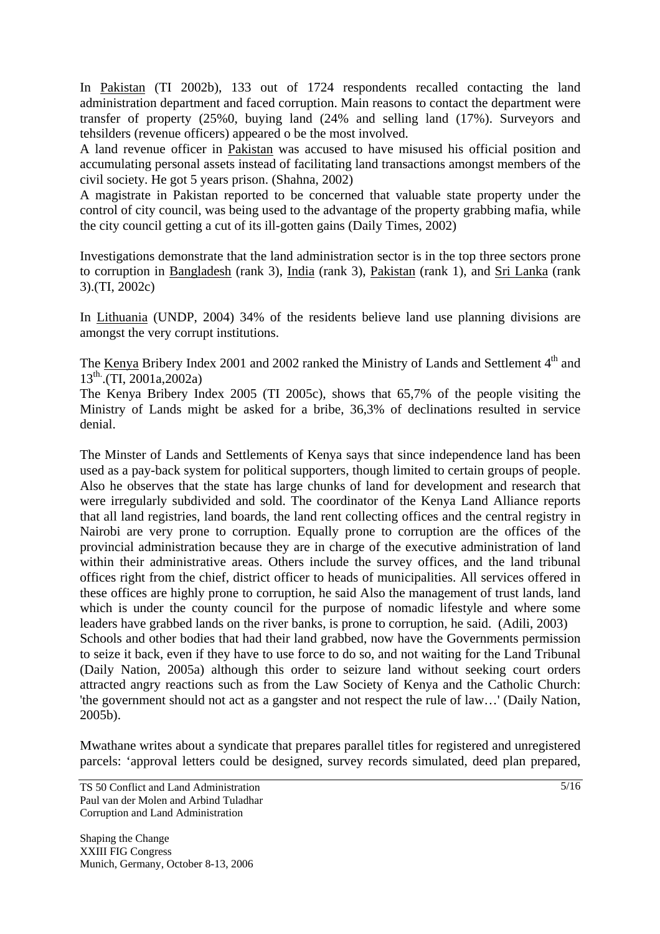In Pakistan (TI 2002b), 133 out of 1724 respondents recalled contacting the land administration department and faced corruption. Main reasons to contact the department were transfer of property (25%0, buying land (24% and selling land (17%). Surveyors and tehsilders (revenue officers) appeared o be the most involved.

A land revenue officer in Pakistan was accused to have misused his official position and accumulating personal assets instead of facilitating land transactions amongst members of the civil society. He got 5 years prison. (Shahna, 2002)

A magistrate in Pakistan reported to be concerned that valuable state property under the control of city council, was being used to the advantage of the property grabbing mafia, while the city council getting a cut of its ill-gotten gains (Daily Times, 2002)

Investigations demonstrate that the land administration sector is in the top three sectors prone to corruption in Bangladesh (rank 3), India (rank 3), Pakistan (rank 1), and Sri Lanka (rank 3).(TI, 2002c)

In Lithuania (UNDP, 2004) 34% of the residents believe land use planning divisions are amongst the very corrupt institutions.

The Kenya Bribery Index 2001 and 2002 ranked the Ministry of Lands and Settlement 4<sup>th</sup> and  $13^{th}$ . (TI, 2001a, 2002a)

The Kenya Bribery Index 2005 (TI 2005c), shows that 65,7% of the people visiting the Ministry of Lands might be asked for a bribe, 36,3% of declinations resulted in service denial.

The Minster of Lands and Settlements of Kenya says that since independence land has been used as a pay-back system for political supporters, though limited to certain groups of people. Also he observes that the state has large chunks of land for development and research that were irregularly subdivided and sold. The coordinator of the Kenya Land Alliance reports that all land registries, land boards, the land rent collecting offices and the central registry in Nairobi are very prone to corruption. Equally prone to corruption are the offices of the provincial administration because they are in charge of the executive administration of land within their administrative areas. Others include the survey offices, and the land tribunal offices right from the chief, district officer to heads of municipalities. All services offered in these offices are highly prone to corruption, he said Also the management of trust lands, land which is under the county council for the purpose of nomadic lifestyle and where some leaders have grabbed lands on the river banks, is prone to corruption, he said. (Adili, 2003) Schools and other bodies that had their land grabbed, now have the Governments permission to seize it back, even if they have to use force to do so, and not waiting for the Land Tribunal (Daily Nation, 2005a) although this order to seizure land without seeking court orders attracted angry reactions such as from the Law Society of Kenya and the Catholic Church: 'the government should not act as a gangster and not respect the rule of law…' (Daily Nation, 2005b).

Mwathane writes about a syndicate that prepares parallel titles for registered and unregistered parcels: 'approval letters could be designed, survey records simulated, deed plan prepared,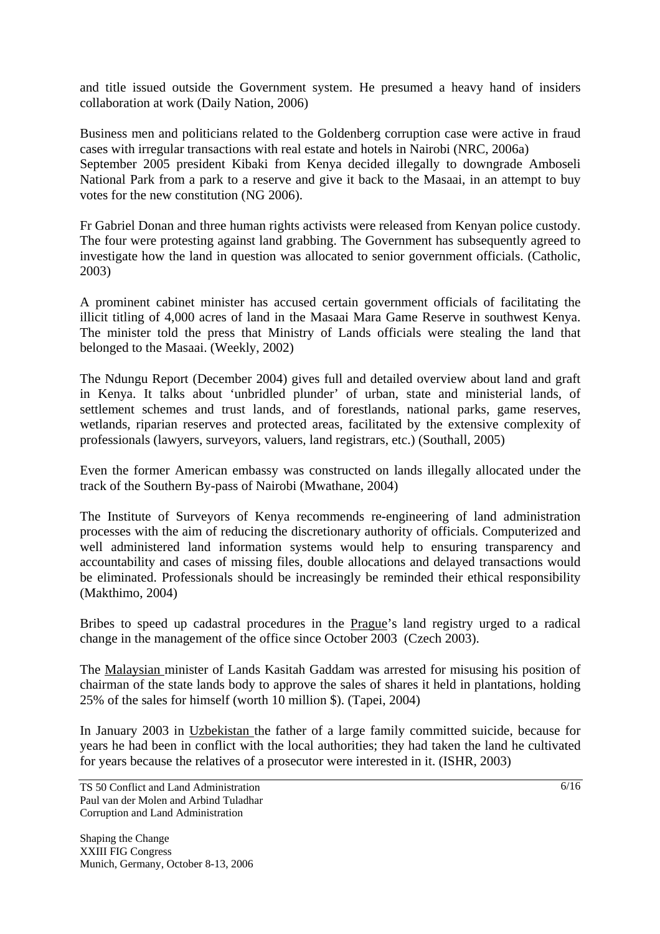and title issued outside the Government system. He presumed a heavy hand of insiders collaboration at work (Daily Nation, 2006)

Business men and politicians related to the Goldenberg corruption case were active in fraud cases with irregular transactions with real estate and hotels in Nairobi (NRC, 2006a) September 2005 president Kibaki from Kenya decided illegally to downgrade Amboseli National Park from a park to a reserve and give it back to the Masaai, in an attempt to buy votes for the new constitution (NG 2006).

Fr Gabriel Donan and three human rights activists were released from Kenyan police custody. The four were protesting against land grabbing. The Government has subsequently agreed to investigate how the land in question was allocated to senior government officials. (Catholic, 2003)

A prominent cabinet minister has accused certain government officials of facilitating the illicit titling of 4,000 acres of land in the Masaai Mara Game Reserve in southwest Kenya. The minister told the press that Ministry of Lands officials were stealing the land that belonged to the Masaai. (Weekly, 2002)

The Ndungu Report (December 2004) gives full and detailed overview about land and graft in Kenya. It talks about 'unbridled plunder' of urban, state and ministerial lands, of settlement schemes and trust lands, and of forestlands, national parks, game reserves, wetlands, riparian reserves and protected areas, facilitated by the extensive complexity of professionals (lawyers, surveyors, valuers, land registrars, etc.) (Southall, 2005)

Even the former American embassy was constructed on lands illegally allocated under the track of the Southern By-pass of Nairobi (Mwathane, 2004)

The Institute of Surveyors of Kenya recommends re-engineering of land administration processes with the aim of reducing the discretionary authority of officials. Computerized and well administered land information systems would help to ensuring transparency and accountability and cases of missing files, double allocations and delayed transactions would be eliminated. Professionals should be increasingly be reminded their ethical responsibility (Makthimo, 2004)

Bribes to speed up cadastral procedures in the Prague's land registry urged to a radical change in the management of the office since October 2003 (Czech 2003).

The Malaysian minister of Lands Kasitah Gaddam was arrested for misusing his position of chairman of the state lands body to approve the sales of shares it held in plantations, holding 25% of the sales for himself (worth 10 million \$). (Tapei, 2004)

In January 2003 in Uzbekistan the father of a large family committed suicide, because for years he had been in conflict with the local authorities; they had taken the land he cultivated for years because the relatives of a prosecutor were interested in it. (ISHR, 2003)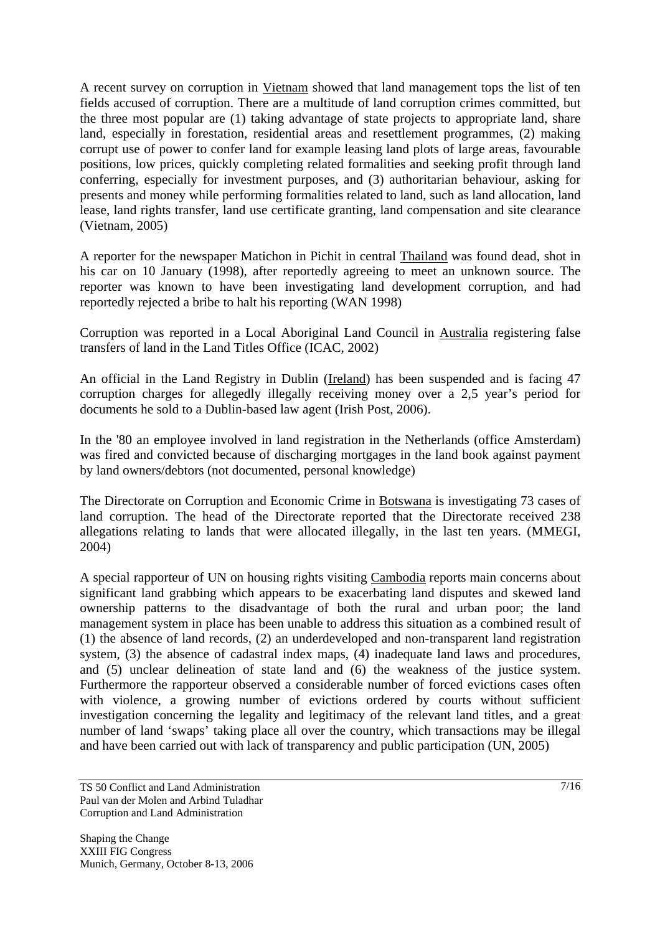A recent survey on corruption in Vietnam showed that land management tops the list of ten fields accused of corruption. There are a multitude of land corruption crimes committed, but the three most popular are (1) taking advantage of state projects to appropriate land, share land, especially in forestation, residential areas and resettlement programmes, (2) making corrupt use of power to confer land for example leasing land plots of large areas, favourable positions, low prices, quickly completing related formalities and seeking profit through land conferring, especially for investment purposes, and (3) authoritarian behaviour, asking for presents and money while performing formalities related to land, such as land allocation, land lease, land rights transfer, land use certificate granting, land compensation and site clearance (Vietnam, 2005)

A reporter for the newspaper Matichon in Pichit in central Thailand was found dead, shot in his car on 10 January (1998), after reportedly agreeing to meet an unknown source. The reporter was known to have been investigating land development corruption, and had reportedly rejected a bribe to halt his reporting (WAN 1998)

Corruption was reported in a Local Aboriginal Land Council in Australia registering false transfers of land in the Land Titles Office (ICAC, 2002)

An official in the Land Registry in Dublin (Ireland) has been suspended and is facing 47 corruption charges for allegedly illegally receiving money over a 2,5 year's period for documents he sold to a Dublin-based law agent (Irish Post, 2006).

In the '80 an employee involved in land registration in the Netherlands (office Amsterdam) was fired and convicted because of discharging mortgages in the land book against payment by land owners/debtors (not documented, personal knowledge)

The Directorate on Corruption and Economic Crime in Botswana is investigating 73 cases of land corruption. The head of the Directorate reported that the Directorate received 238 allegations relating to lands that were allocated illegally, in the last ten years. (MMEGI, 2004)

A special rapporteur of UN on housing rights visiting Cambodia reports main concerns about significant land grabbing which appears to be exacerbating land disputes and skewed land ownership patterns to the disadvantage of both the rural and urban poor; the land management system in place has been unable to address this situation as a combined result of (1) the absence of land records, (2) an underdeveloped and non-transparent land registration system, (3) the absence of cadastral index maps, (4) inadequate land laws and procedures, and (5) unclear delineation of state land and (6) the weakness of the justice system. Furthermore the rapporteur observed a considerable number of forced evictions cases often with violence, a growing number of evictions ordered by courts without sufficient investigation concerning the legality and legitimacy of the relevant land titles, and a great number of land 'swaps' taking place all over the country, which transactions may be illegal and have been carried out with lack of transparency and public participation (UN, 2005)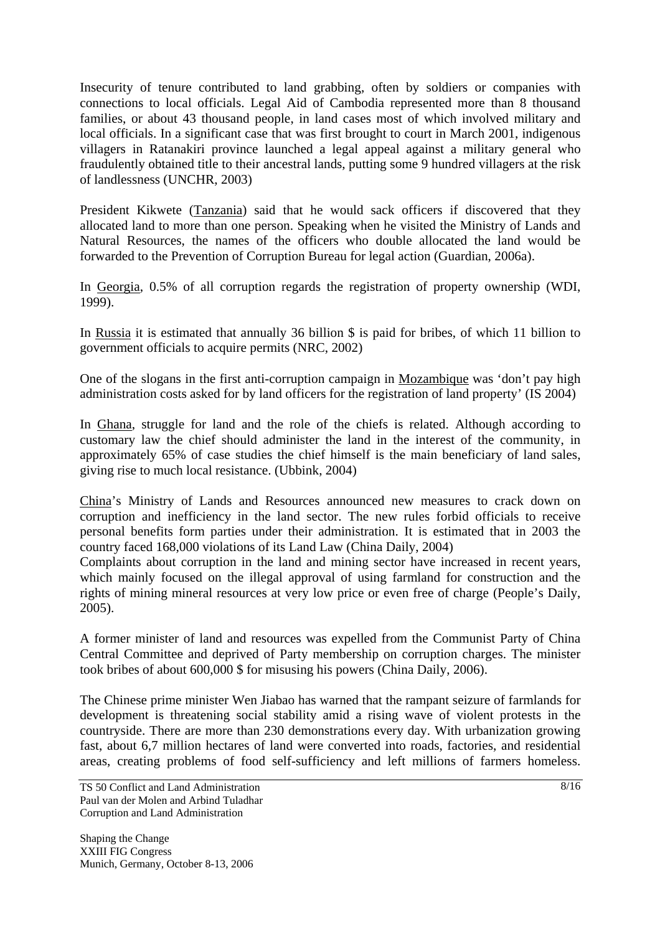Insecurity of tenure contributed to land grabbing, often by soldiers or companies with connections to local officials. Legal Aid of Cambodia represented more than 8 thousand families, or about 43 thousand people, in land cases most of which involved military and local officials. In a significant case that was first brought to court in March 2001, indigenous villagers in Ratanakiri province launched a legal appeal against a military general who fraudulently obtained title to their ancestral lands, putting some 9 hundred villagers at the risk of landlessness (UNCHR, 2003)

President Kikwete (Tanzania) said that he would sack officers if discovered that they allocated land to more than one person. Speaking when he visited the Ministry of Lands and Natural Resources, the names of the officers who double allocated the land would be forwarded to the Prevention of Corruption Bureau for legal action (Guardian, 2006a).

In Georgia, 0.5% of all corruption regards the registration of property ownership (WDI, 1999).

In Russia it is estimated that annually 36 billion \$ is paid for bribes, of which 11 billion to government officials to acquire permits (NRC, 2002)

One of the slogans in the first anti-corruption campaign in Mozambique was 'don't pay high administration costs asked for by land officers for the registration of land property' (IS 2004)

In Ghana, struggle for land and the role of the chiefs is related. Although according to customary law the chief should administer the land in the interest of the community, in approximately 65% of case studies the chief himself is the main beneficiary of land sales, giving rise to much local resistance. (Ubbink, 2004)

China's Ministry of Lands and Resources announced new measures to crack down on corruption and inefficiency in the land sector. The new rules forbid officials to receive personal benefits form parties under their administration. It is estimated that in 2003 the country faced 168,000 violations of its Land Law (China Daily, 2004)

Complaints about corruption in the land and mining sector have increased in recent years, which mainly focused on the illegal approval of using farmland for construction and the rights of mining mineral resources at very low price or even free of charge (People's Daily, 2005).

A former minister of land and resources was expelled from the Communist Party of China Central Committee and deprived of Party membership on corruption charges. The minister took bribes of about 600,000 \$ for misusing his powers (China Daily, 2006).

The Chinese prime minister Wen Jiabao has warned that the rampant seizure of farmlands for development is threatening social stability amid a rising wave of violent protests in the countryside. There are more than 230 demonstrations every day. With urbanization growing fast, about 6,7 million hectares of land were converted into roads, factories, and residential areas, creating problems of food self-sufficiency and left millions of farmers homeless.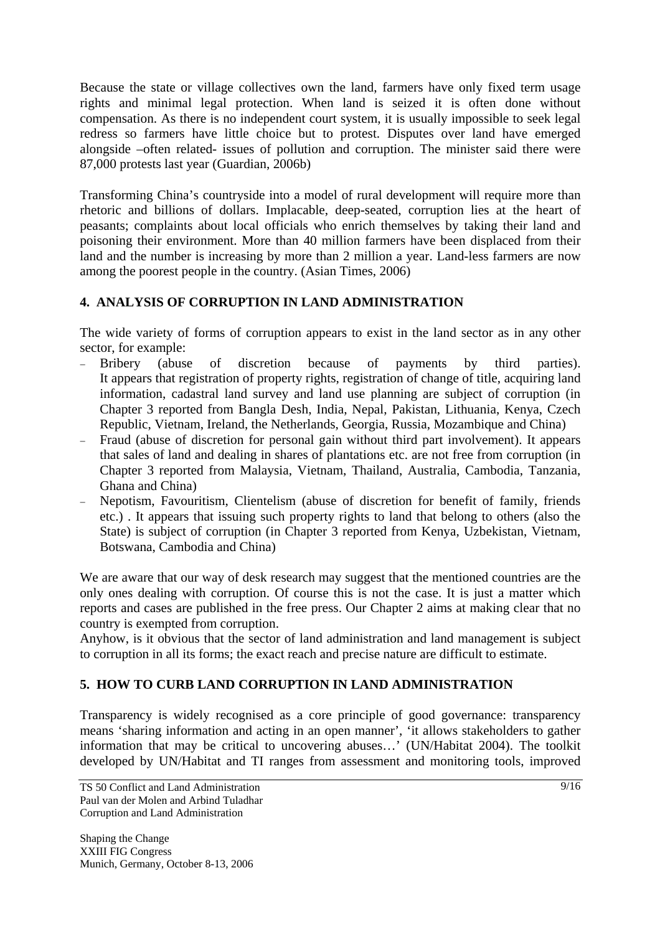Because the state or village collectives own the land, farmers have only fixed term usage rights and minimal legal protection. When land is seized it is often done without compensation. As there is no independent court system, it is usually impossible to seek legal redress so farmers have little choice but to protest. Disputes over land have emerged alongside –often related- issues of pollution and corruption. The minister said there were 87,000 protests last year (Guardian, 2006b)

Transforming China's countryside into a model of rural development will require more than rhetoric and billions of dollars. Implacable, deep-seated, corruption lies at the heart of peasants; complaints about local officials who enrich themselves by taking their land and poisoning their environment. More than 40 million farmers have been displaced from their land and the number is increasing by more than 2 million a year. Land-less farmers are now among the poorest people in the country. (Asian Times, 2006)

## **4. ANALYSIS OF CORRUPTION IN LAND ADMINISTRATION**

The wide variety of forms of corruption appears to exist in the land sector as in any other sector, for example:

- − Bribery (abuse of discretion because of payments by third parties). It appears that registration of property rights, registration of change of title, acquiring land information, cadastral land survey and land use planning are subject of corruption (in Chapter 3 reported from Bangla Desh, India, Nepal, Pakistan, Lithuania, Kenya, Czech Republic, Vietnam, Ireland, the Netherlands, Georgia, Russia, Mozambique and China)
- Fraud (abuse of discretion for personal gain without third part involvement). It appears that sales of land and dealing in shares of plantations etc. are not free from corruption (in Chapter 3 reported from Malaysia, Vietnam, Thailand, Australia, Cambodia, Tanzania, Ghana and China)
- − Nepotism, Favouritism, Clientelism (abuse of discretion for benefit of family, friends etc.) . It appears that issuing such property rights to land that belong to others (also the State) is subject of corruption (in Chapter 3 reported from Kenya, Uzbekistan, Vietnam, Botswana, Cambodia and China)

We are aware that our way of desk research may suggest that the mentioned countries are the only ones dealing with corruption. Of course this is not the case. It is just a matter which reports and cases are published in the free press. Our Chapter 2 aims at making clear that no country is exempted from corruption.

Anyhow, is it obvious that the sector of land administration and land management is subject to corruption in all its forms; the exact reach and precise nature are difficult to estimate.

## **5. HOW TO CURB LAND CORRUPTION IN LAND ADMINISTRATION**

Transparency is widely recognised as a core principle of good governance: transparency means 'sharing information and acting in an open manner', 'it allows stakeholders to gather information that may be critical to uncovering abuses…' (UN/Habitat 2004). The toolkit developed by UN/Habitat and TI ranges from assessment and monitoring tools, improved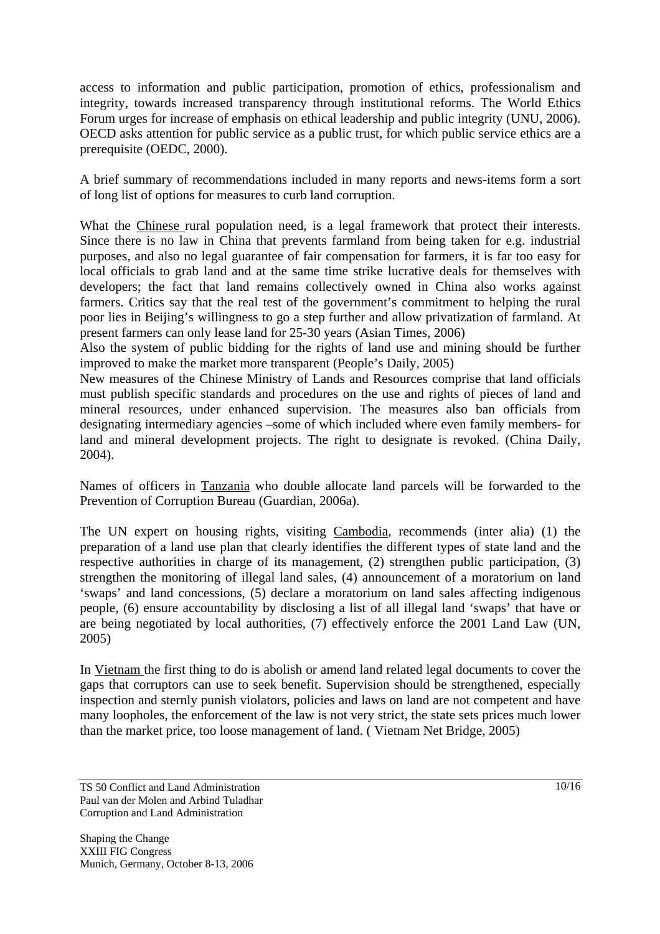access to information and public participation, promotion of ethics, professionalism and integrity, towards increased transparency through institutional reforms. The World Ethics Forum urges for increase of emphasis on ethical leadership and public integrity (UNU, 2006). OECD asks attention for public service as a public trust, for which public service ethics are a prerequisite (OEDC, 2000).

A brief summary of recommendations included in many reports and news-items form a sort of long list of options for measures to curb land corruption.

What the Chinese rural population need, is a legal framework that protect their interests. Since there is no law in China that prevents farmland from being taken for e.g. industrial purposes, and also no legal guarantee of fair compensation for farmers, it is far too easy for local officials to grab land and at the same time strike lucrative deals for themselves with developers; the fact that land remains collectively owned in China also works against farmers. Critics say that the real test of the government's commitment to helping the rural poor lies in Beijing's willingness to go a step further and allow privatization of farmland. At present farmers can only lease land for 25-30 years (Asian Times, 2006)

Also the system of public bidding for the rights of land use and mining should be further improved to make the market more transparent (People's Daily, 2005)

New measures of the Chinese Ministry of Lands and Resources comprise that land officials must publish specific standards and procedures on the use and rights of pieces of land and mineral resources, under enhanced supervision. The measures also ban officials from designating intermediary agencies –some of which included where even family members- for land and mineral development projects. The right to designate is revoked. (China Daily, 2004).

Names of officers in Tanzania who double allocate land parcels will be forwarded to the Prevention of Corruption Bureau (Guardian, 2006a).

The UN expert on housing rights, visiting Cambodia, recommends (inter alia) (1) the preparation of a land use plan that clearly identifies the different types of state land and the respective authorities in charge of its management, (2) strengthen public participation, (3) strengthen the monitoring of illegal land sales, (4) announcement of a moratorium on land 'swaps' and land concessions, (5) declare a moratorium on land sales affecting indigenous people, (6) ensure accountability by disclosing a list of all illegal land 'swaps' that have or are being negotiated by local authorities, (7) effectively enforce the 2001 Land Law (UN, 2005)

In Vietnam the first thing to do is abolish or amend land related legal documents to cover the gaps that corruptors can use to seek benefit. Supervision should be strengthened, especially inspection and sternly punish violators, policies and laws on land are not competent and have many loopholes, the enforcement of the law is not very strict, the state sets prices much lower than the market price, too loose management of land. ( Vietnam Net Bridge, 2005)

TS 50 Conflict and Land Administration Paul van der Molen and Arbind Tuladhar Corruption and Land Administration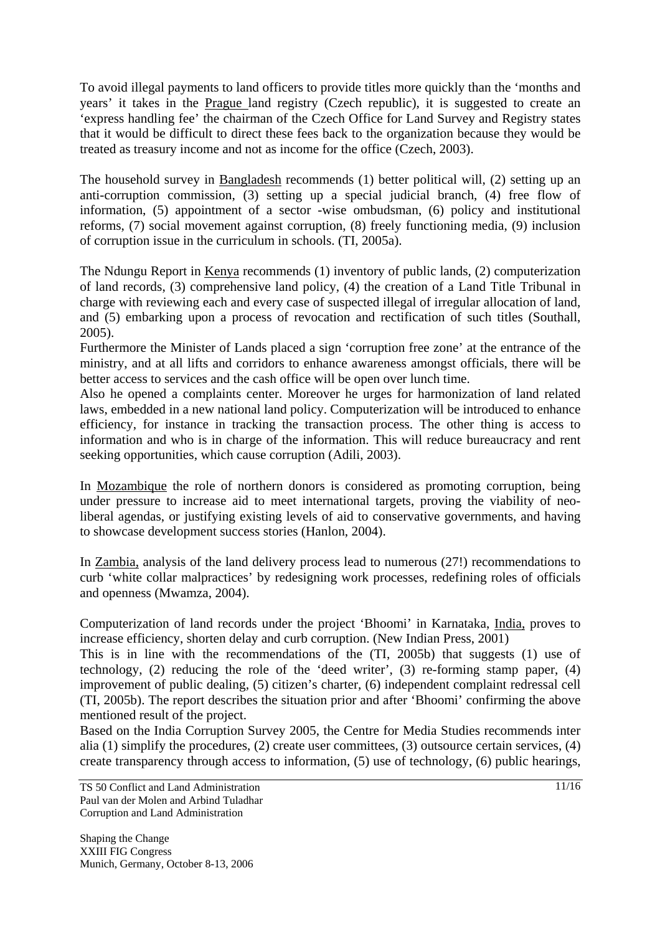To avoid illegal payments to land officers to provide titles more quickly than the 'months and years' it takes in the Prague land registry (Czech republic), it is suggested to create an 'express handling fee' the chairman of the Czech Office for Land Survey and Registry states that it would be difficult to direct these fees back to the organization because they would be treated as treasury income and not as income for the office (Czech, 2003).

The household survey in Bangladesh recommends (1) better political will, (2) setting up an anti-corruption commission, (3) setting up a special judicial branch, (4) free flow of information, (5) appointment of a sector -wise ombudsman, (6) policy and institutional reforms, (7) social movement against corruption, (8) freely functioning media, (9) inclusion of corruption issue in the curriculum in schools. (TI, 2005a).

The Ndungu Report in <u>Kenya</u> recommends (1) inventory of public lands, (2) computerization of land records, (3) comprehensive land policy, (4) the creation of a Land Title Tribunal in charge with reviewing each and every case of suspected illegal of irregular allocation of land, and (5) embarking upon a process of revocation and rectification of such titles (Southall, 2005).

Furthermore the Minister of Lands placed a sign 'corruption free zone' at the entrance of the ministry, and at all lifts and corridors to enhance awareness amongst officials, there will be better access to services and the cash office will be open over lunch time.

Also he opened a complaints center. Moreover he urges for harmonization of land related laws, embedded in a new national land policy. Computerization will be introduced to enhance efficiency, for instance in tracking the transaction process. The other thing is access to information and who is in charge of the information. This will reduce bureaucracy and rent seeking opportunities, which cause corruption (Adili, 2003).

In Mozambique the role of northern donors is considered as promoting corruption, being under pressure to increase aid to meet international targets, proving the viability of neoliberal agendas, or justifying existing levels of aid to conservative governments, and having to showcase development success stories (Hanlon, 2004).

In Zambia, analysis of the land delivery process lead to numerous (27!) recommendations to curb 'white collar malpractices' by redesigning work processes, redefining roles of officials and openness (Mwamza, 2004).

Computerization of land records under the project 'Bhoomi' in Karnataka, India, proves to increase efficiency, shorten delay and curb corruption. (New Indian Press, 2001)

This is in line with the recommendations of the (TI, 2005b) that suggests (1) use of technology, (2) reducing the role of the 'deed writer', (3) re-forming stamp paper, (4) improvement of public dealing, (5) citizen's charter, (6) independent complaint redressal cell (TI, 2005b). The report describes the situation prior and after 'Bhoomi' confirming the above mentioned result of the project.

Based on the India Corruption Survey 2005, the Centre for Media Studies recommends inter alia (1) simplify the procedures, (2) create user committees, (3) outsource certain services, (4) create transparency through access to information, (5) use of technology, (6) public hearings,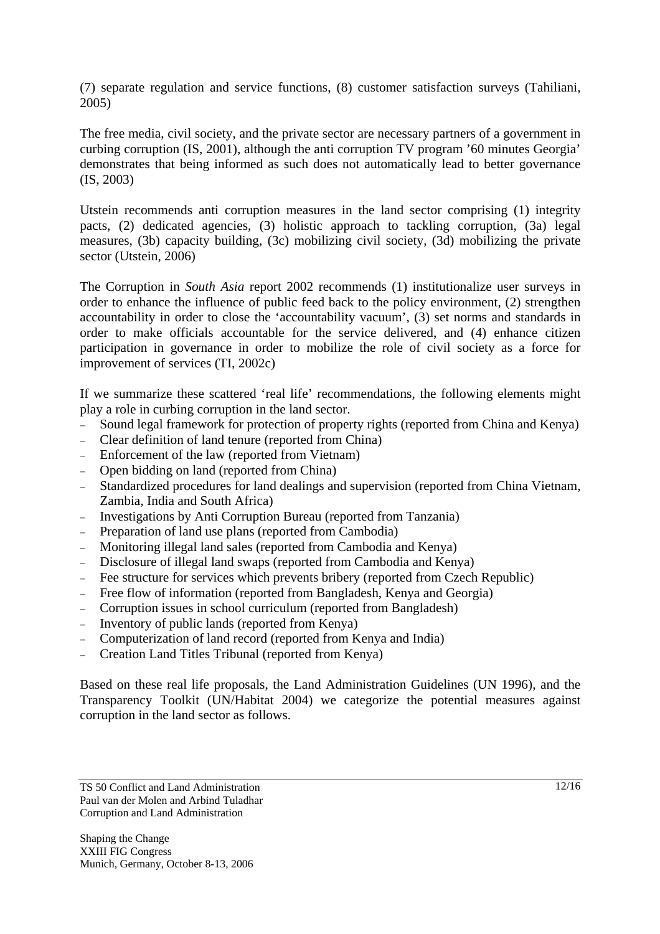(7) separate regulation and service functions, (8) customer satisfaction surveys (Tahiliani, 2005)

The free media, civil society, and the private sector are necessary partners of a government in curbing corruption (IS, 2001), although the anti corruption TV program '60 minutes Georgia' demonstrates that being informed as such does not automatically lead to better governance (IS, 2003)

Utstein recommends anti corruption measures in the land sector comprising (1) integrity pacts, (2) dedicated agencies, (3) holistic approach to tackling corruption, (3a) legal measures, (3b) capacity building, (3c) mobilizing civil society, (3d) mobilizing the private sector (Utstein, 2006)

The Corruption in *South Asia* report 2002 recommends (1) institutionalize user surveys in order to enhance the influence of public feed back to the policy environment, (2) strengthen accountability in order to close the 'accountability vacuum', (3) set norms and standards in order to make officials accountable for the service delivered, and (4) enhance citizen participation in governance in order to mobilize the role of civil society as a force for improvement of services (TI, 2002c)

If we summarize these scattered 'real life' recommendations, the following elements might play a role in curbing corruption in the land sector.

- − Sound legal framework for protection of property rights (reported from China and Kenya)
- − Clear definition of land tenure (reported from China)
- − Enforcement of the law (reported from Vietnam)
- − Open bidding on land (reported from China)
- Standardized procedures for land dealings and supervision (reported from China Vietnam, Zambia, India and South Africa)
- − Investigations by Anti Corruption Bureau (reported from Tanzania)
- − Preparation of land use plans (reported from Cambodia)
- − Monitoring illegal land sales (reported from Cambodia and Kenya)
- − Disclosure of illegal land swaps (reported from Cambodia and Kenya)
- − Fee structure for services which prevents bribery (reported from Czech Republic)
- − Free flow of information (reported from Bangladesh, Kenya and Georgia)
- − Corruption issues in school curriculum (reported from Bangladesh)
- − Inventory of public lands (reported from Kenya)
- − Computerization of land record (reported from Kenya and India)
- − Creation Land Titles Tribunal (reported from Kenya)

Based on these real life proposals, the Land Administration Guidelines (UN 1996), and the Transparency Toolkit (UN/Habitat 2004) we categorize the potential measures against corruption in the land sector as follows.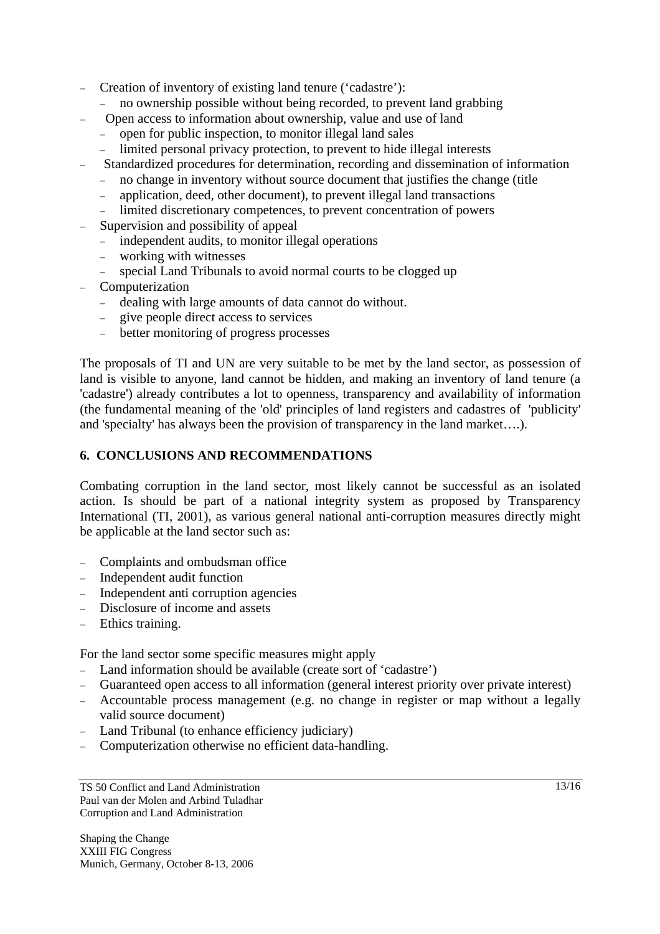- − Creation of inventory of existing land tenure ('cadastre'):
	- − no ownership possible without being recorded, to prevent land grabbing
- − Open access to information about ownership, value and use of land
	- − open for public inspection, to monitor illegal land sales
	- limited personal privacy protection, to prevent to hide illegal interests
- − Standardized procedures for determination, recording and dissemination of information
	- − no change in inventory without source document that justifies the change (title
	- − application, deed, other document), to prevent illegal land transactions
	- limited discretionary competences, to prevent concentration of powers
- Supervision and possibility of appeal
	- − independent audits, to monitor illegal operations
	- − working with witnesses
	- special Land Tribunals to avoid normal courts to be clogged up
- − Computerization
	- − dealing with large amounts of data cannot do without.
	- give people direct access to services
	- − better monitoring of progress processes

The proposals of TI and UN are very suitable to be met by the land sector, as possession of land is visible to anyone, land cannot be hidden, and making an inventory of land tenure (a 'cadastre') already contributes a lot to openness, transparency and availability of information (the fundamental meaning of the 'old' principles of land registers and cadastres of 'publicity' and 'specialty' has always been the provision of transparency in the land market….).

#### **6. CONCLUSIONS AND RECOMMENDATIONS**

Combating corruption in the land sector, most likely cannot be successful as an isolated action. Is should be part of a national integrity system as proposed by Transparency International (TI, 2001), as various general national anti-corruption measures directly might be applicable at the land sector such as:

- − Complaints and ombudsman office
- − Independent audit function
- − Independent anti corruption agencies
- − Disclosure of income and assets
- − Ethics training.

For the land sector some specific measures might apply

- − Land information should be available (create sort of 'cadastre')
- − Guaranteed open access to all information (general interest priority over private interest)
- − Accountable process management (e.g. no change in register or map without a legally valid source document)
- − Land Tribunal (to enhance efficiency judiciary)
- − Computerization otherwise no efficient data-handling.

TS 50 Conflict and Land Administration Paul van der Molen and Arbind Tuladhar Corruption and Land Administration

Shaping the Change XXIII FIG Congress Munich, Germany, October 8-13, 2006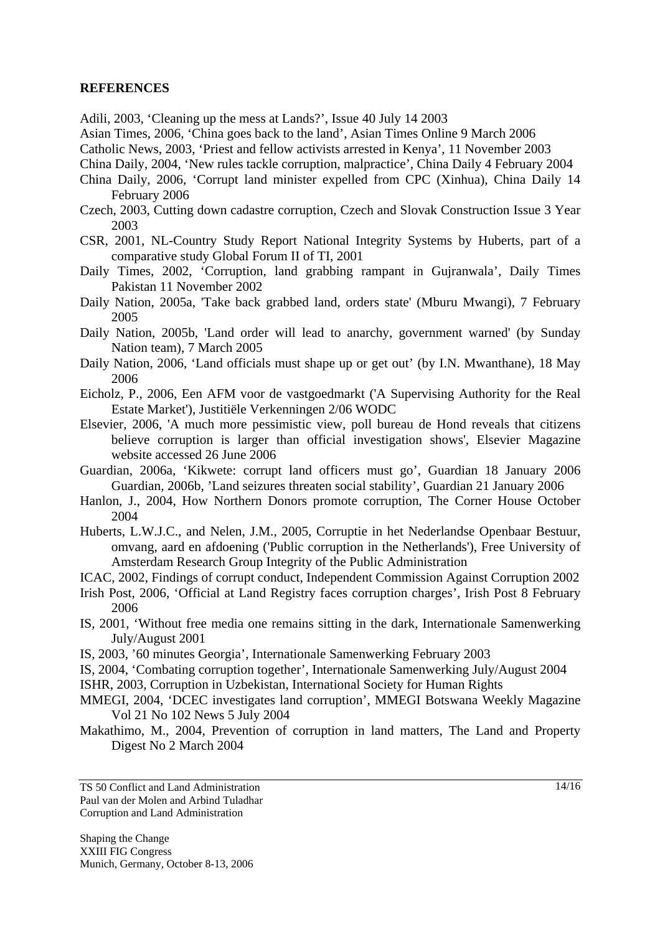#### **REFERENCES**

Adili, 2003, 'Cleaning up the mess at Lands?', Issue 40 July 14 2003

Asian Times, 2006, 'China goes back to the land', Asian Times Online 9 March 2006

Catholic News, 2003, 'Priest and fellow activists arrested in Kenya', 11 November 2003

- China Daily, 2004, 'New rules tackle corruption, malpractice', China Daily 4 February 2004
- China Daily, 2006, 'Corrupt land minister expelled from CPC (Xinhua), China Daily 14 February 2006
- Czech, 2003, Cutting down cadastre corruption, Czech and Slovak Construction Issue 3 Year 2003
- CSR, 2001, NL-Country Study Report National Integrity Systems by Huberts, part of a comparative study Global Forum II of TI, 2001
- Daily Times, 2002, 'Corruption, land grabbing rampant in Gujranwala', Daily Times Pakistan 11 November 2002
- Daily Nation, 2005a, 'Take back grabbed land, orders state' (Mburu Mwangi), 7 February 2005
- Daily Nation, 2005b, 'Land order will lead to anarchy, government warned' (by Sunday Nation team), 7 March 2005
- Daily Nation, 2006, 'Land officials must shape up or get out' (by I.N. Mwanthane), 18 May 2006
- Eicholz, P., 2006, Een AFM voor de vastgoedmarkt ('A Supervising Authority for the Real Estate Market'), Justitiële Verkenningen 2/06 WODC
- Elsevier, 2006, 'A much more pessimistic view, poll bureau de Hond reveals that citizens believe corruption is larger than official investigation shows', Elsevier Magazine website accessed 26 June 2006
- Guardian, 2006a, 'Kikwete: corrupt land officers must go', Guardian 18 January 2006 Guardian, 2006b, 'Land seizures threaten social stability', Guardian 21 January 2006
- Hanlon, J., 2004, How Northern Donors promote corruption, The Corner House October 2004
- Huberts, L.W.J.C., and Nelen, J.M., 2005, Corruptie in het Nederlandse Openbaar Bestuur, omvang, aard en afdoening ('Public corruption in the Netherlands'), Free University of Amsterdam Research Group Integrity of the Public Administration
- ICAC, 2002, Findings of corrupt conduct, Independent Commission Against Corruption 2002
- Irish Post, 2006, 'Official at Land Registry faces corruption charges', Irish Post 8 February 2006
- IS, 2001, 'Without free media one remains sitting in the dark, Internationale Samenwerking July/August 2001
- IS, 2003, '60 minutes Georgia', Internationale Samenwerking February 2003
- IS, 2004, 'Combating corruption together', Internationale Samenwerking July/August 2004 ISHR, 2003, Corruption in Uzbekistan, International Society for Human Rights
- MMEGI, 2004, 'DCEC investigates land corruption', MMEGI Botswana Weekly Magazine Vol 21 No 102 News 5 July 2004
- Makathimo, M., 2004, Prevention of corruption in land matters, The Land and Property Digest No 2 March 2004

TS 50 Conflict and Land Administration Paul van der Molen and Arbind Tuladhar Corruption and Land Administration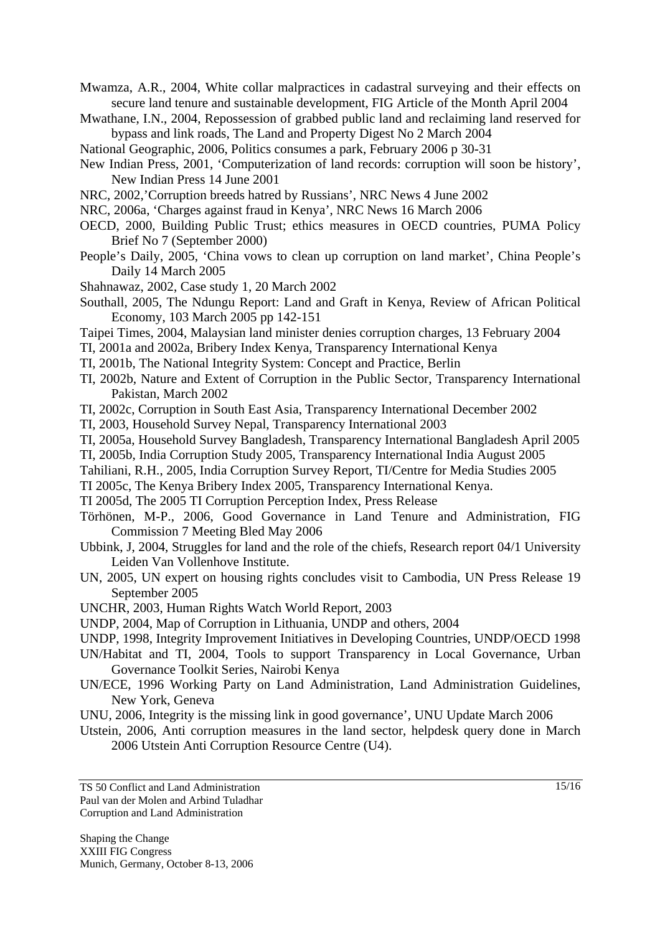Mwamza, A.R., 2004, White collar malpractices in cadastral surveying and their effects on secure land tenure and sustainable development, FIG Article of the Month April 2004

- Mwathane, I.N., 2004, Repossession of grabbed public land and reclaiming land reserved for bypass and link roads, The Land and Property Digest No 2 March 2004
- National Geographic, 2006, Politics consumes a park, February 2006 p 30-31
- New Indian Press, 2001, 'Computerization of land records: corruption will soon be history', New Indian Press 14 June 2001
- NRC, 2002,'Corruption breeds hatred by Russians', NRC News 4 June 2002
- NRC, 2006a, 'Charges against fraud in Kenya', NRC News 16 March 2006
- OECD, 2000, Building Public Trust; ethics measures in OECD countries, PUMA Policy Brief No 7 (September 2000)
- People's Daily, 2005, 'China vows to clean up corruption on land market', China People's Daily 14 March 2005
- Shahnawaz, 2002, Case study 1, 20 March 2002
- Southall, 2005, The Ndungu Report: Land and Graft in Kenya, Review of African Political Economy, 103 March 2005 pp 142-151
- Taipei Times, 2004, Malaysian land minister denies corruption charges, 13 February 2004
- TI, 2001a and 2002a, Bribery Index Kenya, Transparency International Kenya
- TI, 2001b, The National Integrity System: Concept and Practice, Berlin
- TI, 2002b, Nature and Extent of Corruption in the Public Sector, Transparency International Pakistan, March 2002
- TI, 2002c, Corruption in South East Asia, Transparency International December 2002
- TI, 2003, Household Survey Nepal, Transparency International 2003
- TI, 2005a, Household Survey Bangladesh, Transparency International Bangladesh April 2005
- TI, 2005b, India Corruption Study 2005, Transparency International India August 2005
- Tahiliani, R.H., 2005, India Corruption Survey Report, TI/Centre for Media Studies 2005
- TI 2005c, The Kenya Bribery Index 2005, Transparency International Kenya.
- TI 2005d, The 2005 TI Corruption Perception Index, Press Release
- Törhönen, M-P., 2006, Good Governance in Land Tenure and Administration, FIG Commission 7 Meeting Bled May 2006
- Ubbink, J, 2004, Struggles for land and the role of the chiefs, Research report 04/1 University Leiden Van Vollenhove Institute.
- UN, 2005, UN expert on housing rights concludes visit to Cambodia, UN Press Release 19 September 2005
- UNCHR, 2003, Human Rights Watch World Report, 2003
- UNDP, 2004, Map of Corruption in Lithuania, UNDP and others, 2004
- UNDP, 1998, Integrity Improvement Initiatives in Developing Countries, UNDP/OECD 1998
- UN/Habitat and TI, 2004, Tools to support Transparency in Local Governance, Urban Governance Toolkit Series, Nairobi Kenya
- UN/ECE, 1996 Working Party on Land Administration, Land Administration Guidelines, New York, Geneva
- UNU, 2006, Integrity is the missing link in good governance', UNU Update March 2006
- Utstein, 2006, Anti corruption measures in the land sector, helpdesk query done in March 2006 Utstein Anti Corruption Resource Centre (U4).

TS 50 Conflict and Land Administration Paul van der Molen and Arbind Tuladhar Corruption and Land Administration